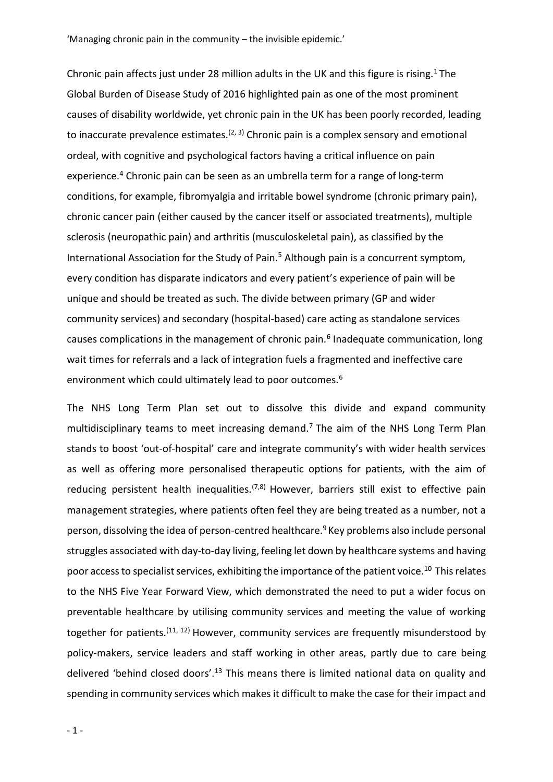Chronic pain affects just under 28 million adults in the UK and this figure is rising.<sup>1</sup> The Global Burden of Disease Study of 2016 highlighted pain as one of the most prominent causes of disability worldwide, yet chronic pain in the UK has been poorly recorded, leading to inaccurate prevalence estimates.<sup> $(2, 3)$ </sup> Chronic pain is a complex sensory and emotional ordeal, with cognitive and psychological factors having a critical influence on pain experience.<sup>4</sup> Chronic pain can be seen as an umbrella term for a range of long-term conditions, for example, fibromyalgia and irritable bowel syndrome (chronic primary pain), chronic cancer pain (either caused by the cancer itself or associated treatments), multiple sclerosis (neuropathic pain) and arthritis (musculoskeletal pain), as classified by the International Association for the Study of Pain.<sup>5</sup> Although pain is a concurrent symptom, every condition has disparate indicators and every patient's experience of pain will be unique and should be treated as such. The divide between primary (GP and wider community services) and secondary (hospital-based) care acting as standalone services causes complications in the management of chronic pain.<sup>6</sup> Inadequate communication, long wait times for referrals and a lack of integration fuels a fragmented and ineffective care environment which could ultimately lead to poor outcomes.<sup>6</sup>

The NHS Long Term Plan set out to dissolve this divide and expand community multidisciplinary teams to meet increasing demand.<sup>7</sup> The aim of the NHS Long Term Plan stands to boost 'out-of-hospital' care and integrate community's with wider health services as well as offering more personalised therapeutic options for patients, with the aim of reducing persistent health inequalities.<sup> $(7,8)$ </sup> However, barriers still exist to effective pain management strategies, where patients often feel they are being treated as a number, not a person, dissolving the idea of person-centred healthcare.<sup>9</sup> Key problems also include personal struggles associated with day-to-day living, feeling let down by healthcare systems and having poor access to specialist services, exhibiting the importance of the patient voice.<sup>10</sup> This relates to the NHS Five Year Forward View, which demonstrated the need to put a wider focus on preventable healthcare by utilising community services and meeting the value of working together for patients.  $(11, 12)$  However, community services are frequently misunderstood by policy-makers, service leaders and staff working in other areas, partly due to care being delivered 'behind closed doors'.<sup>13</sup> This means there is limited national data on quality and spending in community services which makes it difficult to make the case for their impact and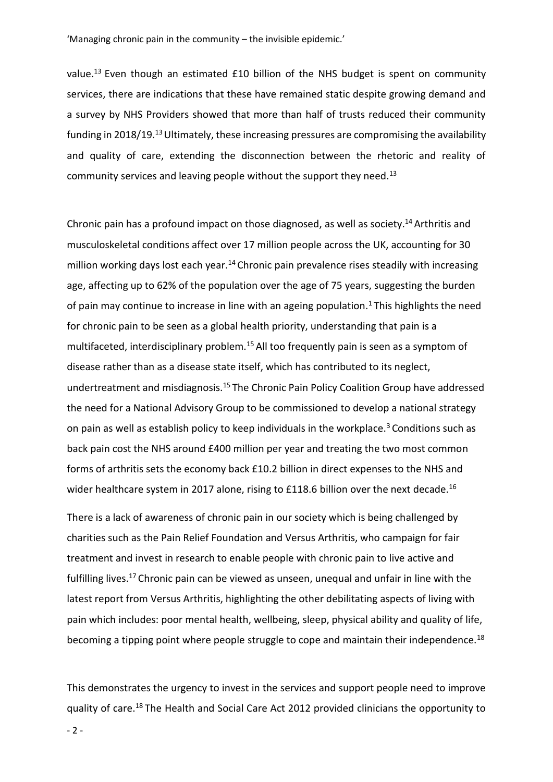value.<sup>13</sup> Even though an estimated  $£10$  billion of the NHS budget is spent on community services, there are indications that these have remained static despite growing demand and a survey by NHS Providers showed that more than half of trusts reduced their community funding in 2018/19.<sup>13</sup>Ultimately, these increasing pressures are compromising the availability and quality of care, extending the disconnection between the rhetoric and reality of community services and leaving people without the support they need.<sup>13</sup>

Chronic pain has a profound impact on those diagnosed, as well as society.<sup>14</sup> Arthritis and musculoskeletal conditions affect over 17 million people across the UK, accounting for 30 million working days lost each year.<sup>14</sup> Chronic pain prevalence rises steadily with increasing age, affecting up to 62% of the population over the age of 75 years, suggesting the burden of pain may continue to increase in line with an ageing population.<sup>1</sup> This highlights the need for chronic pain to be seen as a global health priority, understanding that pain is a multifaceted, interdisciplinary problem.<sup>15</sup> All too frequently pain is seen as a symptom of disease rather than as a disease state itself, which has contributed to its neglect, undertreatment and misdiagnosis.<sup>15</sup> The Chronic Pain Policy Coalition Group have addressed the need for a National Advisory Group to be commissioned to develop a national strategy on pain as well as establish policy to keep individuals in the workplace.<sup>3</sup> Conditions such as back pain cost the NHS around £400 million per year and treating the two most common forms of arthritis sets the economy back £10.2 billion in direct expenses to the NHS and wider healthcare system in 2017 alone, rising to £118.6 billion over the next decade.<sup>16</sup>

There is a lack of awareness of chronic pain in our society which is being challenged by charities such as the Pain Relief Foundation and Versus Arthritis, who campaign for fair treatment and invest in research to enable people with chronic pain to live active and fulfilling lives.<sup>17</sup> Chronic pain can be viewed as unseen, unequal and unfair in line with the latest report from Versus Arthritis, highlighting the other debilitating aspects of living with pain which includes: poor mental health, wellbeing, sleep, physical ability and quality of life, becoming a tipping point where people struggle to cope and maintain their independence.<sup>18</sup>

This demonstrates the urgency to invest in the services and support people need to improve quality of care.18 The Health and Social Care Act 2012 provided clinicians the opportunity to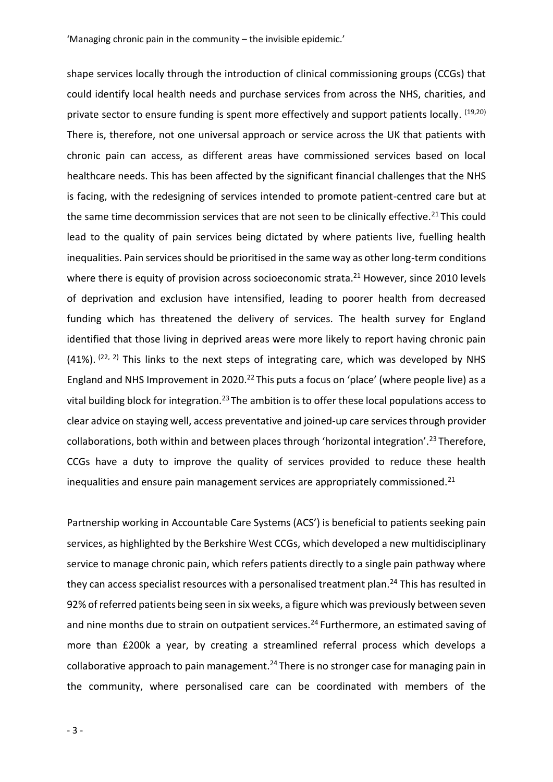shape services locally through the introduction of clinical commissioning groups (CCGs) that could identify local health needs and purchase services from across the NHS, charities, and private sector to ensure funding is spent more effectively and support patients locally. <sup>(19,20)</sup> There is, therefore, not one universal approach or service across the UK that patients with chronic pain can access, as different areas have commissioned services based on local healthcare needs. This has been affected by the significant financial challenges that the NHS is facing, with the redesigning of services intended to promote patient-centred care but at the same time decommission services that are not seen to be clinically effective.<sup>21</sup> This could lead to the quality of pain services being dictated by where patients live, fuelling health inequalities. Pain services should be prioritised in the same way as other long-term conditions where there is equity of provision across socioeconomic strata.<sup>21</sup> However, since 2010 levels of deprivation and exclusion have intensified, leading to poorer health from decreased funding which has threatened the delivery of services. The health survey for England identified that those living in deprived areas were more likely to report having chronic pain  $(41\%)$ .  $(22, 2)$  This links to the next steps of integrating care, which was developed by NHS England and NHS Improvement in 2020.<sup>22</sup> This puts a focus on 'place' (where people live) as a vital building block for integration.<sup>23</sup> The ambition is to offer these local populations access to clear advice on staying well, access preventative and joined-up care services through provider collaborations, both within and between places through 'horizontal integration'.<sup>23</sup>Therefore, CCGs have a duty to improve the quality of services provided to reduce these health inequalities and ensure pain management services are appropriately commissioned.<sup>21</sup>

Partnership working in Accountable Care Systems (ACS') is beneficial to patients seeking pain services, as highlighted by the Berkshire West CCGs, which developed a new multidisciplinary service to manage chronic pain, which refers patients directly to a single pain pathway where they can access specialist resources with a personalised treatment plan.<sup>24</sup> This has resulted in 92% of referred patients being seen in six weeks, a figure which was previously between seven and nine months due to strain on outpatient services.<sup>24</sup> Furthermore, an estimated saving of more than £200k a year, by creating a streamlined referral process which develops a collaborative approach to pain management.<sup>24</sup> There is no stronger case for managing pain in the community, where personalised care can be coordinated with members of the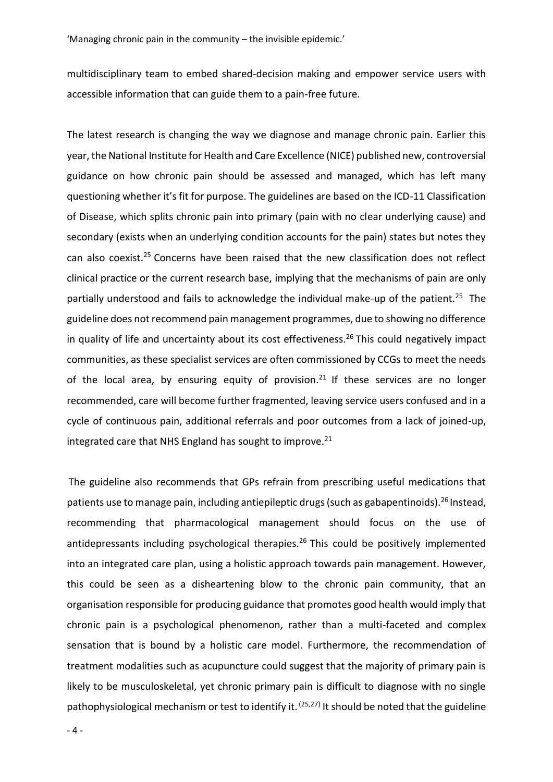multidisciplinary team to embed shared-decision making and empower service users with accessible information that can guide them to a pain-free future.

The latest research is changing the way we diagnose and manage chronic pain. Earlier this year, the National Institute for Health and Care Excellence (NICE) published new, controversial guidance on how chronic pain should be assessed and managed, which has left many questioning whether it's fit for purpose. The guidelines are based on the ICD-11 Classification of Disease, which splits chronic pain into primary (pain with no clear underlying cause) and secondary (exists when an underlying condition accounts for the pain) states but notes they can also coexist.<sup>25</sup> Concerns have been raised that the new classification does not reflect clinical practice or the current research base, implying that the mechanisms of pain are only partially understood and fails to acknowledge the individual make-up of the patient.<sup>25</sup> The guideline does not recommend pain management programmes, due to showing no difference in quality of life and uncertainty about its cost effectiveness.<sup>26</sup> This could negatively impact communities, as these specialist services are often commissioned by CCGs to meet the needs of the local area, by ensuring equity of provision.<sup>21</sup> If these services are no longer recommended, care will become further fragmented, leaving service users confused and in a cycle of continuous pain, additional referrals and poor outcomes from a lack of joined-up, integrated care that NHS England has sought to improve.<sup>21</sup>

The guideline also recommends that GPs refrain from prescribing useful medications that patients use to manage pain, including antiepileptic drugs (such as gabapentinoids).<sup>26</sup> Instead, recommending that pharmacological management should focus on the use of antidepressants including psychological therapies.<sup>26</sup> This could be positively implemented into an integrated care plan, using a holistic approach towards pain management. However, this could be seen as a disheartening blow to the chronic pain community, that an organisation responsible for producing guidance that promotes good health would imply that chronic pain is a psychological phenomenon, rather than a multi-faceted and complex sensation that is bound by a holistic care model. Furthermore, the recommendation of treatment modalities such as acupuncture could suggest that the majority of primary pain is likely to be musculoskeletal, yet chronic primary pain is difficult to diagnose with no single pathophysiological mechanism or test to identify it.  $(25,27)$  It should be noted that the guideline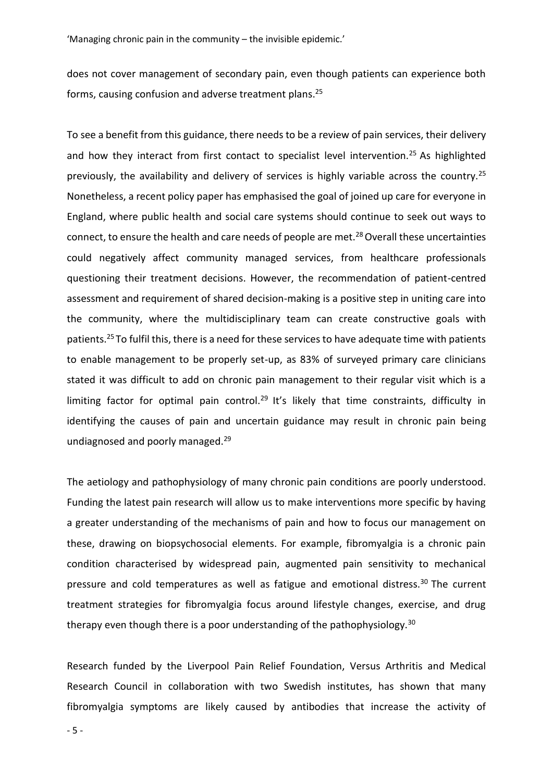does not cover management of secondary pain, even though patients can experience both forms, causing confusion and adverse treatment plans. 25

To see a benefit from this guidance, there needs to be a review of pain services, their delivery and how they interact from first contact to specialist level intervention.<sup>25</sup> As highlighted previously, the availability and delivery of services is highly variable across the country.<sup>25</sup> Nonetheless, a recent policy paper has emphasised the goal of joined up care for everyone in England, where public health and social care systems should continue to seek out ways to connect, to ensure the health and care needs of people are met.<sup>28</sup> Overall these uncertainties could negatively affect community managed services, from healthcare professionals questioning their treatment decisions. However, the recommendation of patient-centred assessment and requirement of shared decision-making is a positive step in uniting care into the community, where the multidisciplinary team can create constructive goals with patients.<sup>25</sup> To fulfil this, there is a need for these services to have adequate time with patients to enable management to be properly set-up, as 83% of surveyed primary care clinicians stated it was difficult to add on chronic pain management to their regular visit which is a limiting factor for optimal pain control.<sup>29</sup> It's likely that time constraints, difficulty in identifying the causes of pain and uncertain guidance may result in chronic pain being undiagnosed and poorly managed.<sup>29</sup>

The aetiology and pathophysiology of many chronic pain conditions are poorly understood. Funding the latest pain research will allow us to make interventions more specific by having a greater understanding of the mechanisms of pain and how to focus our management on these, drawing on biopsychosocial elements. For example, fibromyalgia is a chronic pain condition characterised by widespread pain, augmented pain sensitivity to mechanical pressure and cold temperatures as well as fatigue and emotional distress.<sup>30</sup> The current treatment strategies for fibromyalgia focus around lifestyle changes, exercise, and drug therapy even though there is a poor understanding of the pathophysiology.<sup>30</sup>

Research funded by the Liverpool Pain Relief Foundation, Versus Arthritis and Medical Research Council in collaboration with two Swedish institutes, has shown that many fibromyalgia symptoms are likely caused by antibodies that increase the activity of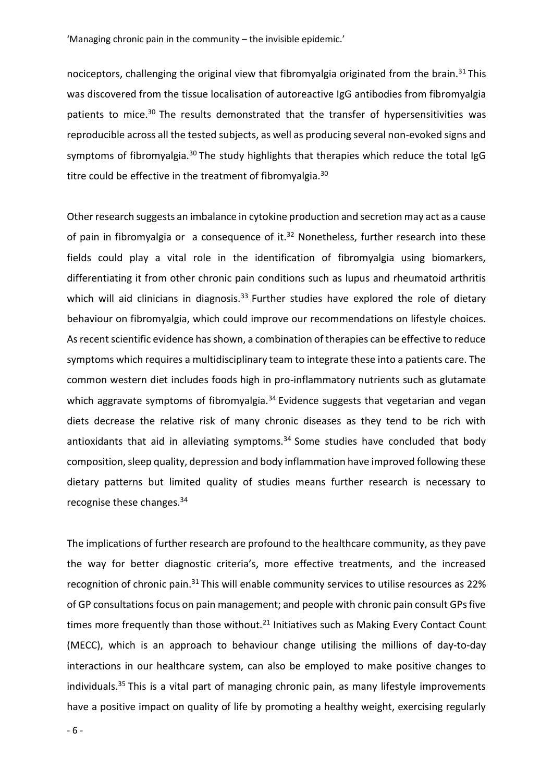nociceptors, challenging the original view that fibromyalgia originated from the brain.<sup>31</sup>This was discovered from the tissue localisation of autoreactive IgG antibodies from fibromyalgia patients to mice.<sup>30</sup> The results demonstrated that the transfer of hypersensitivities was reproducible across all the tested subjects, as well as producing several non-evoked signs and symptoms of fibromyalgia.<sup>30</sup> The study highlights that therapies which reduce the total IgG titre could be effective in the treatment of fibromyalgia.<sup>30</sup>

Other research suggests an imbalance in cytokine production and secretion may act as a cause of pain in fibromyalgia or a consequence of it. $32$  Nonetheless, further research into these fields could play a vital role in the identification of fibromyalgia using biomarkers, differentiating it from other chronic pain conditions such as lupus and rheumatoid arthritis which will aid clinicians in diagnosis. $33$  Further studies have explored the role of dietary behaviour on fibromyalgia, which could improve our recommendations on lifestyle choices. As recent scientific evidence has shown, a combination of therapies can be effective to reduce symptoms which requires a multidisciplinary team to integrate these into a patients care. The common western diet includes foods high in pro-inflammatory nutrients such as glutamate which aggravate symptoms of fibromyalgia.<sup>34</sup> Evidence suggests that vegetarian and vegan diets decrease the relative risk of many chronic diseases as they tend to be rich with antioxidants that aid in alleviating symptoms. $34$  Some studies have concluded that body composition, sleep quality, depression and body inflammation have improved following these dietary patterns but limited quality of studies means further research is necessary to recognise these changes.<sup>34</sup>

The implications of further research are profound to the healthcare community, as they pave the way for better diagnostic criteria's, more effective treatments, and the increased recognition of chronic pain.<sup>31</sup> This will enable community services to utilise resources as 22% of GP consultations focus on pain management; and people with chronic pain consult GPs five times more frequently than those without. $21$  Initiatives such as Making Every Contact Count (MECC), which is an approach to behaviour change utilising the millions of day-to-day interactions in our healthcare system, can also be employed to make positive changes to individuals.<sup>35</sup> This is a vital part of managing chronic pain, as many lifestyle improvements have a positive impact on quality of life by promoting a healthy weight, exercising regularly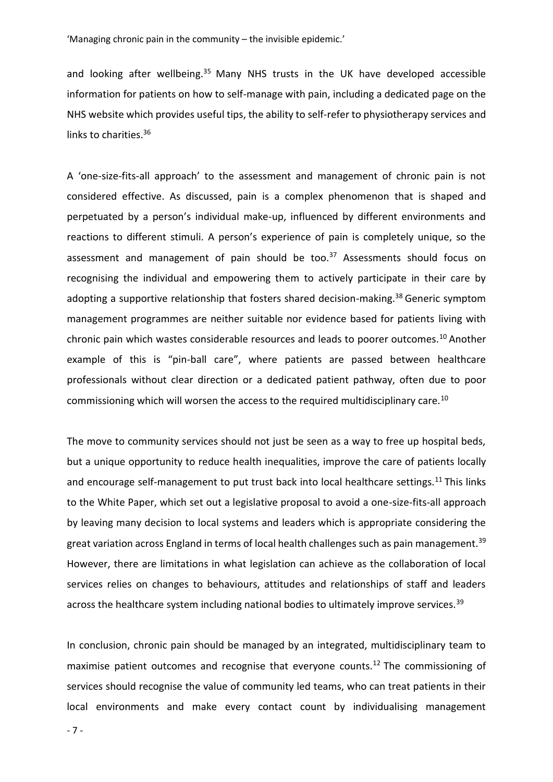and looking after wellbeing.<sup>35</sup> Many NHS trusts in the UK have developed accessible information for patients on how to self-manage with pain, including a dedicated page on the NHS website which provides useful tips, the ability to self-refer to physiotherapy services and links to charities.<sup>36</sup>

A 'one-size-fits-all approach' to the assessment and management of chronic pain is not considered effective. As discussed, pain is a complex phenomenon that is shaped and perpetuated by a person's individual make-up, influenced by different environments and reactions to different stimuli. A person's experience of pain is completely unique, so the assessment and management of pain should be too.<sup>37</sup> Assessments should focus on recognising the individual and empowering them to actively participate in their care by adopting a supportive relationship that fosters shared decision-making.<sup>38</sup> Generic symptom management programmes are neither suitable nor evidence based for patients living with chronic pain which wastes considerable resources and leads to poorer outcomes.<sup>10</sup> Another example of this is "pin-ball care", where patients are passed between healthcare professionals without clear direction or a dedicated patient pathway, often due to poor commissioning which will worsen the access to the required multidisciplinary care.<sup>10</sup>

The move to community services should not just be seen as a way to free up hospital beds, but a unique opportunity to reduce health inequalities, improve the care of patients locally and encourage self-management to put trust back into local healthcare settings.<sup>11</sup> This links to the White Paper, which set out a legislative proposal to avoid a one-size-fits-all approach by leaving many decision to local systems and leaders which is appropriate considering the great variation across England in terms of local health challenges such as pain management.<sup>39</sup> However, there are limitations in what legislation can achieve as the collaboration of local services relies on changes to behaviours, attitudes and relationships of staff and leaders across the healthcare system including national bodies to ultimately improve services.<sup>39</sup>

In conclusion, chronic pain should be managed by an integrated, multidisciplinary team to maximise patient outcomes and recognise that everyone counts.<sup>12</sup> The commissioning of services should recognise the value of community led teams, who can treat patients in their local environments and make every contact count by individualising management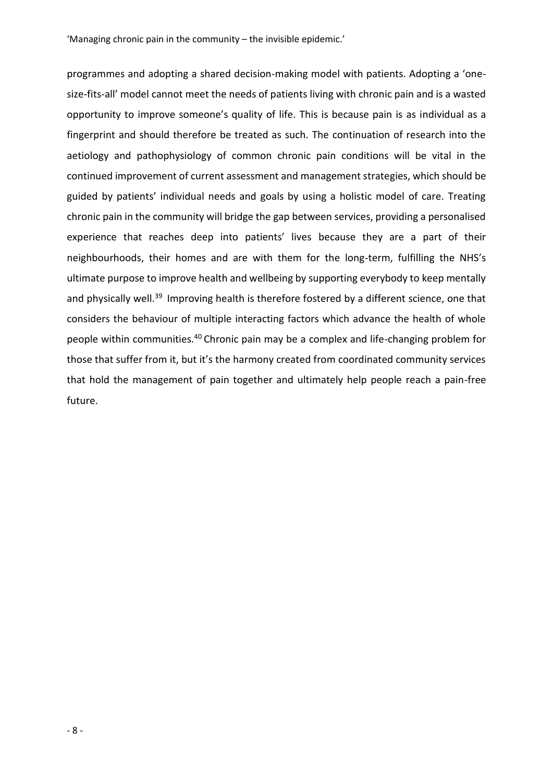programmes and adopting a shared decision-making model with patients. Adopting a 'onesize-fits-all' model cannot meet the needs of patients living with chronic pain and is a wasted opportunity to improve someone's quality of life. This is because pain is as individual as a fingerprint and should therefore be treated as such. The continuation of research into the aetiology and pathophysiology of common chronic pain conditions will be vital in the continued improvement of current assessment and management strategies, which should be guided by patients' individual needs and goals by using a holistic model of care. Treating chronic pain in the community will bridge the gap between services, providing a personalised experience that reaches deep into patients' lives because they are a part of their neighbourhoods, their homes and are with them for the long-term, fulfilling the NHS's ultimate purpose to improve health and wellbeing by supporting everybody to keep mentally and physically well.<sup>39</sup> Improving health is therefore fostered by a different science, one that considers the behaviour of multiple interacting factors which advance the health of whole people within communities.<sup>40</sup> Chronic pain may be a complex and life-changing problem for those that suffer from it, but it's the harmony created from coordinated community services that hold the management of pain together and ultimately help people reach a pain-free future.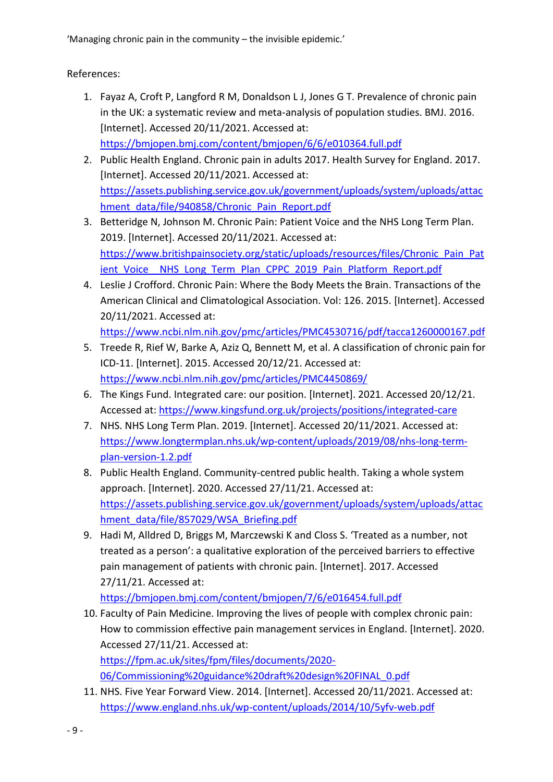References:

- 1. Fayaz A, Croft P, Langford R M, Donaldson L J, Jones G T. Prevalence of chronic pain in the UK: a systematic review and meta-analysis of population studies. BMJ. 2016. [Internet]. Accessed 20/11/2021. Accessed at: <https://bmjopen.bmj.com/content/bmjopen/6/6/e010364.full.pdf>
- 2. Public Health England. Chronic pain in adults 2017. Health Survey for England. 2017. [Internet]. Accessed 20/11/2021. Accessed at: [https://assets.publishing.service.gov.uk/government/uploads/system/uploads/attac](https://assets.publishing.service.gov.uk/government/uploads/system/uploads/attachment_data/file/940858/Chronic_Pain_Report.pdf) [hment\\_data/file/940858/Chronic\\_Pain\\_Report.pdf](https://assets.publishing.service.gov.uk/government/uploads/system/uploads/attachment_data/file/940858/Chronic_Pain_Report.pdf)
- 3. Betteridge N, Johnson M. Chronic Pain: Patient Voice and the NHS Long Term Plan. 2019. [Internet]. Accessed 20/11/2021. Accessed at: [https://www.britishpainsociety.org/static/uploads/resources/files/Chronic\\_Pain\\_Pat](https://www.britishpainsociety.org/static/uploads/resources/files/Chronic_Pain_Patient_Voice__NHS_Long_Term_Plan_CPPC_2019_Pain_Platform_Report.pdf) ient Voice NHS Long Term\_Plan\_CPPC\_2019\_Pain\_Platform\_Report.pdf
- 4. Leslie J Crofford. Chronic Pain: Where the Body Meets the Brain. Transactions of the American Clinical and Climatological Association. Vol: 126. 2015. [Internet]. Accessed 20/11/2021. Accessed at:

<https://www.ncbi.nlm.nih.gov/pmc/articles/PMC4530716/pdf/tacca1260000167.pdf>

- 5. Treede R, Rief W, Barke A, Aziz Q, Bennett M, et al. A classification of chronic pain for ICD-11. [Internet]. 2015. Accessed 20/12/21. Accessed at: <https://www.ncbi.nlm.nih.gov/pmc/articles/PMC4450869/>
- 6. The Kings Fund. Integrated care: our position. [Internet]. 2021. Accessed 20/12/21. Accessed at:<https://www.kingsfund.org.uk/projects/positions/integrated-care>
- 7. NHS. NHS Long Term Plan. 2019. [Internet]. Accessed 20/11/2021. Accessed at: [https://www.longtermplan.nhs.uk/wp-content/uploads/2019/08/nhs-long-term](https://www.longtermplan.nhs.uk/wp-content/uploads/2019/08/nhs-long-term-plan-version-1.2.pdf)[plan-version-1.2.pdf](https://www.longtermplan.nhs.uk/wp-content/uploads/2019/08/nhs-long-term-plan-version-1.2.pdf)
- 8. Public Health England. Community-centred public health. Taking a whole system approach. [Internet]. 2020. Accessed 27/11/21. Accessed at: [https://assets.publishing.service.gov.uk/government/uploads/system/uploads/attac](https://assets.publishing.service.gov.uk/government/uploads/system/uploads/attachment_data/file/857029/WSA_Briefing.pdf) [hment\\_data/file/857029/WSA\\_Briefing.pdf](https://assets.publishing.service.gov.uk/government/uploads/system/uploads/attachment_data/file/857029/WSA_Briefing.pdf)
- 9. Hadi M, Alldred D, Briggs M, Marczewski K and Closs S. 'Treated as a number, not treated as a person': a qualitative exploration of the perceived barriers to effective pain management of patients with chronic pain. [Internet]. 2017. Accessed 27/11/21. Accessed at:

<https://bmjopen.bmj.com/content/bmjopen/7/6/e016454.full.pdf>

- 10. Faculty of Pain Medicine. Improving the lives of people with complex chronic pain: How to commission effective pain management services in England. [Internet]. 2020. Accessed 27/11/21. Accessed at: [https://fpm.ac.uk/sites/fpm/files/documents/2020-](https://fpm.ac.uk/sites/fpm/files/documents/2020-06/Commissioning%20guidance%20draft%20design%20FINAL_0.pdf) [06/Commissioning%20guidance%20draft%20design%20FINAL\\_0.pdf](https://fpm.ac.uk/sites/fpm/files/documents/2020-06/Commissioning%20guidance%20draft%20design%20FINAL_0.pdf)
- 11. NHS. Five Year Forward View. 2014. [Internet]. Accessed 20/11/2021. Accessed at: <https://www.england.nhs.uk/wp-content/uploads/2014/10/5yfv-web.pdf>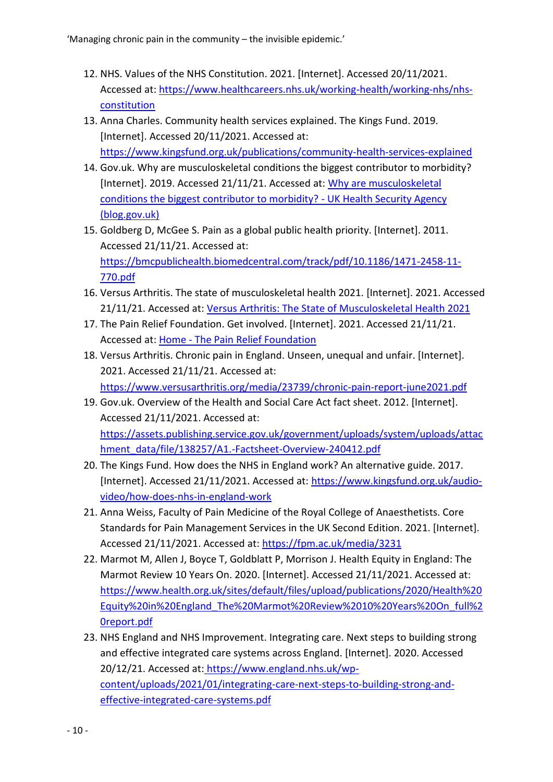- 12. NHS. Values of the NHS Constitution. 2021. [Internet]. Accessed 20/11/2021. Accessed at: https://www.healthcareers.nhs.uk/working-health/working-nhs/nhsconstitution
- 13. Anna Charles. Community health services explained. The Kings Fund. 2019. [Internet]. Accessed 20/11/2021. Accessed at: https://www.kingsfund.org.uk/publications/community-health-services-explained
- 14. Gov.uk. Why are musculoskeletal conditions the biggest contributor to morbidity? [Internet]. 2019. Accessed 21/11/21. Accessed at: Why are musculoskeletal conditions the biggest contributor to morbidity? - UK Health Security Agency (blog.gov.uk)
- 15. Goldberg D, McGee S. Pain as a global public health priority. [Internet]. 2011. Accessed 21/11/21. Accessed at: https://bmcpublichealth.biomedcentral.com/track/pdf/10.1186/1471-2458-11- 770.pdf
- 16. Versus Arthritis. The state of musculoskeletal health 2021. [Internet]. 2021. Accessed 21/11/21. Accessed at: Versus Arthritis: The State of Musculoskeletal Health 2021
- 17. The Pain Relief Foundation. Get involved. [Internet]. 2021. Accessed 21/11/21. Accessed at: Home - The Pain Relief Foundation
- 18. Versus Arthritis. Chronic pain in England. Unseen, unequal and unfair. [Internet]. 2021. Accessed 21/11/21. Accessed at: https://www.versusarthritis.org/media/23739/chronic-pain-report-june2021.pdf
- 19. Gov.uk. Overview of the Health and Social Care Act fact sheet. 2012. [Internet]. Accessed 21/11/2021. Accessed at: https://assets.publishing.service.gov.uk/government/uploads/system/uploads/attac hment\_data/file/138257/A1.-Factsheet-Overview-240412.pdf
- 20. The Kings Fund. How does the NHS in England work? An alternative guide. 2017. [Internet]. Accessed 21/11/2021. Accessed at: https://www.kingsfund.org.uk/audiovideo/how-does-nhs-in-england-work
- 21. Anna Weiss, Faculty of Pain Medicine of the Royal College of Anaesthetists. Core Standards for Pain Management Services in the UK Second Edition. 2021. [Internet]. Accessed 21/11/2021. Accessed at: https://fpm.ac.uk/media/3231
- 22. Marmot M, Allen J, Boyce T, Goldblatt P, Morrison J. Health Equity in England: The Marmot Review 10 Years On. 2020. [Internet]. Accessed 21/11/2021. Accessed at: https://www.health.org.uk/sites/default/files/upload/publications/2020/Health%20 Equity%20in%20England\_The%20Marmot%20Review%2010%20Years%20On\_full%2 0report.pdf
- 23. NHS England and NHS Improvement. Integrating care. Next steps to building strong and effective integrated care systems across England. [Internet]. 2020. Accessed 20/12/21. Accessed at: https://www.england.nhs.uk/wpcontent/uploads/2021/01/integrating-care-next-steps-to-building-strong-andeffective-integrated-care-systems.pdf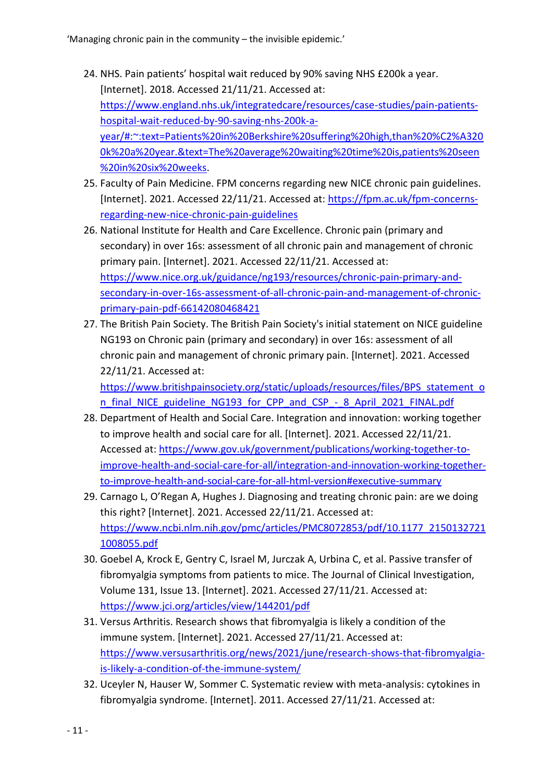- 24. NHS. Pain patients' hospital wait reduced by 90% saving NHS £200k a year. [Internet]. 2018. Accessed 21/11/21. Accessed at: https://www.england.nhs.uk/integratedcare/resources/case-studies/pain-patientshospital-wait-reduced-by-90-saving-nhs-200k-ayear/#:~:text=Patients%20in%20Berkshire%20suffering%20high,than%20%C2%A320 0k%20a%20year.&text=The%20average%20waiting%20time%20is,patients%20seen %20in%20six%20weeks.
- 25. Faculty of Pain Medicine. FPM concerns regarding new NICE chronic pain guidelines. [Internet]. 2021. Accessed 22/11/21. Accessed at: https://fpm.ac.uk/fpm-concernsregarding-new-nice-chronic-pain-guidelines
- 26. National Institute for Health and Care Excellence. Chronic pain (primary and secondary) in over 16s: assessment of all chronic pain and management of chronic primary pain. [Internet]. 2021. Accessed 22/11/21. Accessed at: https://www.nice.org.uk/guidance/ng193/resources/chronic-pain-primary-andsecondary-in-over-16s-assessment-of-all-chronic-pain-and-management-of-chronicprimary-pain-pdf-66142080468421
- 27. The British Pain Society. The British Pain Society's initial statement on NICE guideline NG193 on Chronic pain (primary and secondary) in over 16s: assessment of all chronic pain and management of chronic primary pain. [Internet]. 2021. Accessed 22/11/21. Accessed at:

https://www.britishpainsociety.org/static/uploads/resources/files/BPS\_statement\_o n\_final\_NICE\_guideline\_NG193\_for\_CPP\_and\_CSP\_-\_8\_April\_2021\_FINAL.pdf

- 28. Department of Health and Social Care. Integration and innovation: working together to improve health and social care for all. [Internet]. 2021. Accessed 22/11/21. Accessed at: https://www.gov.uk/government/publications/working-together-toimprove-health-and-social-care-for-all/integration-and-innovation-working-togetherto-improve-health-and-social-care-for-all-html-version#executive-summary
- 29. Carnago L, O'Regan A, Hughes J. Diagnosing and treating chronic pain: are we doing this right? [Internet]. 2021. Accessed 22/11/21. Accessed at: https://www.ncbi.nlm.nih.gov/pmc/articles/PMC8072853/pdf/10.1177\_2150132721 1008055.pdf
- 30. Goebel A, Krock E, Gentry C, Israel M, Jurczak A, Urbina C, et al. Passive transfer of fibromyalgia symptoms from patients to mice. The Journal of Clinical Investigation, Volume 131, Issue 13. [Internet]. 2021. Accessed 27/11/21. Accessed at: https://www.jci.org/articles/view/144201/pdf
- 31. Versus Arthritis. Research shows that fibromyalgia is likely a condition of the immune system. [Internet]. 2021. Accessed 27/11/21. Accessed at: https://www.versusarthritis.org/news/2021/june/research-shows-that-fibromyalgiais-likely-a-condition-of-the-immune-system/
- 32. Uceyler N, Hauser W, Sommer C. Systematic review with meta-analysis: cytokines in fibromyalgia syndrome. [Internet]. 2011. Accessed 27/11/21. Accessed at: